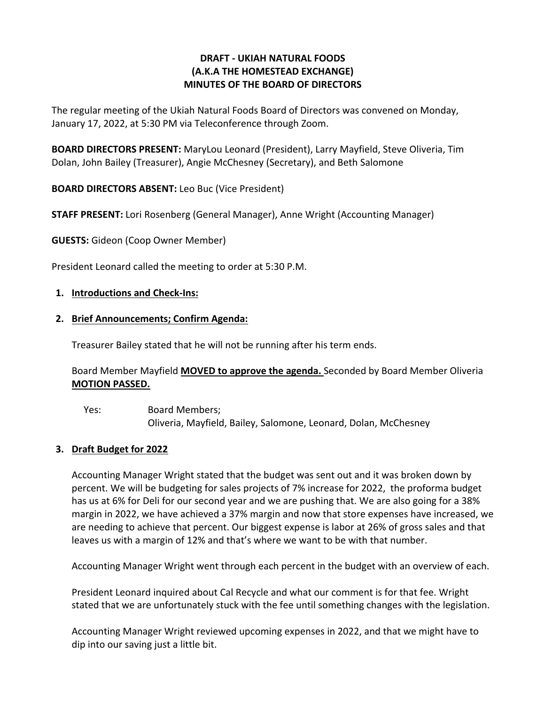# **DRAFT - UKIAH NATURAL FOODS (A.K.A THE HOMESTEAD EXCHANGE) MINUTES OF THE BOARD OF DIRECTORS**

The regular meeting of the Ukiah Natural Foods Board of Directors was convened on Monday, January 17, 2022, at 5:30 PM via Teleconference through Zoom.

**BOARD DIRECTORS PRESENT:** MaryLou Leonard (President), Larry Mayfield, Steve Oliveria, Tim Dolan, John Bailey (Treasurer), Angie McChesney (Secretary), and Beth Salomone

**BOARD DIRECTORS ABSENT:** Leo Buc (Vice President)

**STAFF PRESENT:** Lori Rosenberg (General Manager), Anne Wright (Accounting Manager)

**GUESTS:** Gideon (Coop Owner Member)

President Leonard called the meeting to order at 5:30 P.M.

# **1. Introductions and Check-Ins:**

## **2. Brief Announcements; Confirm Agenda:**

Treasurer Bailey stated that he will not be running after his term ends.

# Board Member Mayfield **MOVED to approve the agenda.** Seconded by Board Member Oliveria **MOTION PASSED.**

Yes: Board Members; Oliveria, Mayfield, Bailey, Salomone, Leonard, Dolan, McChesney

## **3. Draft Budget for 2022**

Accounting Manager Wright stated that the budget was sent out and it was broken down by percent. We will be budgeting for sales projects of 7% increase for 2022, the proforma budget has us at 6% for Deli for our second year and we are pushing that. We are also going for a 38% margin in 2022, we have achieved a 37% margin and now that store expenses have increased, we are needing to achieve that percent. Our biggest expense is labor at 26% of gross sales and that leaves us with a margin of 12% and that's where we want to be with that number.

Accounting Manager Wright went through each percent in the budget with an overview of each.

President Leonard inquired about Cal Recycle and what our comment is for that fee. Wright stated that we are unfortunately stuck with the fee until something changes with the legislation.

Accounting Manager Wright reviewed upcoming expenses in 2022, and that we might have to dip into our saving just a little bit.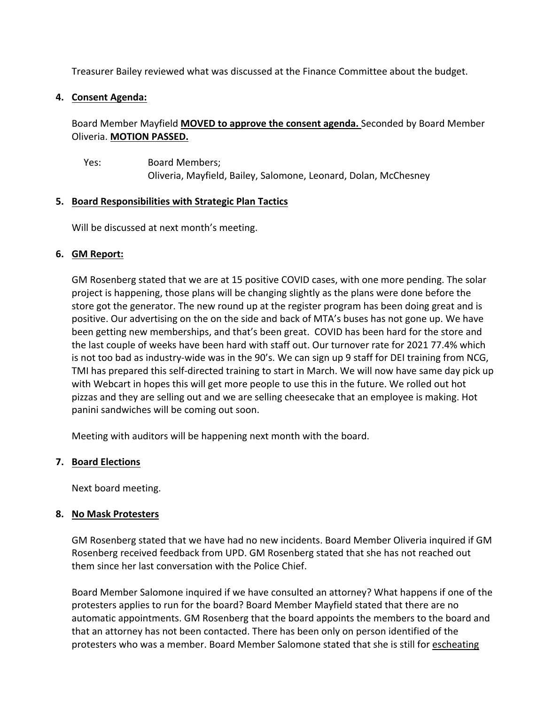Treasurer Bailey reviewed what was discussed at the Finance Committee about the budget.

## **4. Consent Agenda:**

Board Member Mayfield **MOVED to approve the consent agenda.** Seconded by Board Member Oliveria. **MOTION PASSED.** 

Yes: Board Members; Oliveria, Mayfield, Bailey, Salomone, Leonard, Dolan, McChesney

#### **5. Board Responsibilities with Strategic Plan Tactics**

Will be discussed at next month's meeting.

#### **6. GM Report:**

GM Rosenberg stated that we are at 15 positive COVID cases, with one more pending. The solar project is happening, those plans will be changing slightly as the plans were done before the store got the generator. The new round up at the register program has been doing great and is positive. Our advertising on the on the side and back of MTA's buses has not gone up. We have been getting new memberships, and that's been great. COVID has been hard for the store and the last couple of weeks have been hard with staff out. Our turnover rate for 2021 77.4% which is not too bad as industry-wide was in the 90's. We can sign up 9 staff for DEI training from NCG, TMI has prepared this self-directed training to start in March. We will now have same day pick up with Webcart in hopes this will get more people to use this in the future. We rolled out hot pizzas and they are selling out and we are selling cheesecake that an employee is making. Hot panini sandwiches will be coming out soon.

Meeting with auditors will be happening next month with the board.

#### **7. Board Elections**

Next board meeting.

#### **8. No Mask Protesters**

GM Rosenberg stated that we have had no new incidents. Board Member Oliveria inquired if GM Rosenberg received feedback from UPD. GM Rosenberg stated that she has not reached out them since her last conversation with the Police Chief.

Board Member Salomone inquired if we have consulted an attorney? What happens if one of the protesters applies to run for the board? Board Member Mayfield stated that there are no automatic appointments. GM Rosenberg that the board appoints the members to the board and that an attorney has not been contacted. There has been only on person identified of the protesters who was a member. Board Member Salomone stated that she is still for escheating